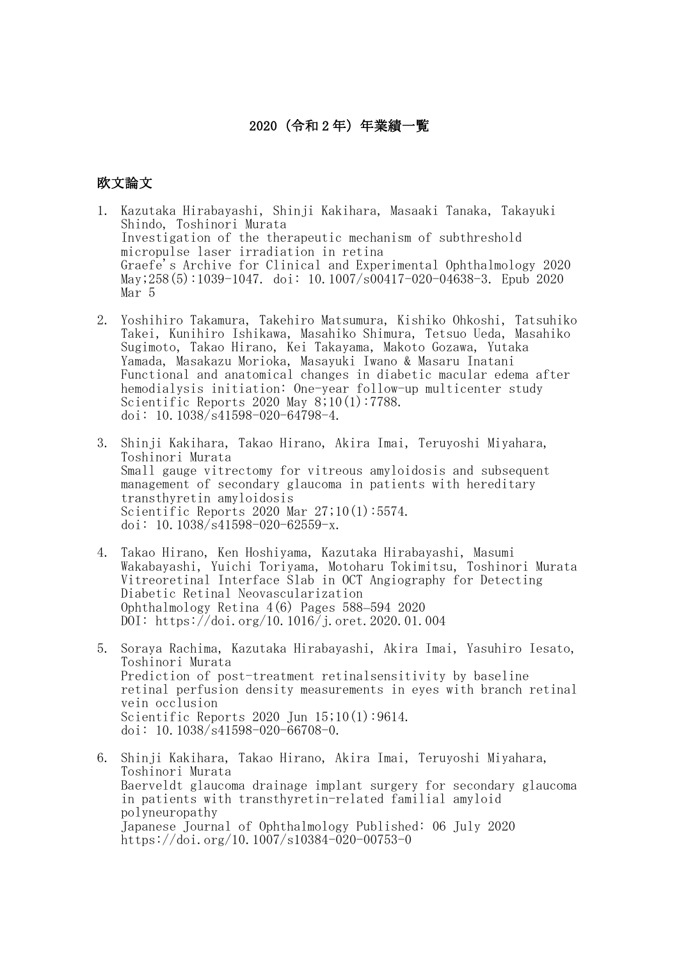## 2020(令和 2 年)年業績一覧

## 欧文論文

- 1. Kazutaka Hirabayashi, Shinji Kakihara, Masaaki Tanaka, Takayuki Shindo, Toshinori Murata Investigation of the therapeutic mechanism of subthreshold micropulse laser irradiation in retina Graefe's Archive for Clinical and Experimental Ophthalmology 2020 May;258(5):1039-1047. doi: 10.1007/s00417-020-04638-3. Epub 2020 Mar 5
- 2. Yoshihiro Takamura, Takehiro Matsumura, Kishiko Ohkoshi, Tatsuhiko Takei, Kunihiro Ishikawa, Masahiko Shimura, Tetsuo Ueda, Masahiko Sugimoto, Takao Hirano, Kei Takayama, Makoto Gozawa, Yutaka Yamada, Masakazu Morioka, Masayuki Iwano & Masaru Inatani Functional and anatomical changes in diabetic macular edema after hemodialysis initiation: One-year follow-up multicenter study Scientific Reports 2020 May 8;10(1):7788. doi: 10.1038/s41598-020-64798-4.
- 3. Shinji Kakihara, Takao Hirano, Akira Imai, Teruyoshi Miyahara, Toshinori Murata Small gauge vitrectomy for vitreous amyloidosis and subsequent management of secondary glaucoma in patients with hereditary transthyretin amyloidosis Scientific Reports 2020 Mar 27;10(1):5574. doi: 10.1038/s41598-020-62559-x.
- 4. Takao Hirano, Ken Hoshiyama, Kazutaka Hirabayashi, Masumi Wakabayashi, Yuichi Toriyama, Motoharu Tokimitsu, Toshinori Murata Vitreoretinal Interface Slab in OCT Angiography for Detecting Diabetic Retinal Neovascularization Ophthalmology Retina 4(6) Pages 588–594 2020 DOI: https://doi.org/10.1016/j.oret.2020.01.004
- 5. Soraya Rachima, Kazutaka Hirabayashi, Akira Imai, Yasuhiro Iesato, Toshinori Murata Prediction of post-treatment retinalsensitivity by baseline retinal perfusion density measurements in eyes with branch retinal vein occlusion Scientific Reports 2020 Jun 15;10(1):9614. doi: 10.1038/s41598-020-66708-0.
- 6. Shinji Kakihara, Takao Hirano, Akira Imai, Teruyoshi Miyahara, Toshinori Murata Baerveldt glaucoma drainage implant surgery for secondary glaucoma in patients with transthyretin-related familial amyloid polyneuropathy Japanese Journal of Ophthalmology Published: 06 July 2020 https://doi.org/10.1007/s10384-020-00753-0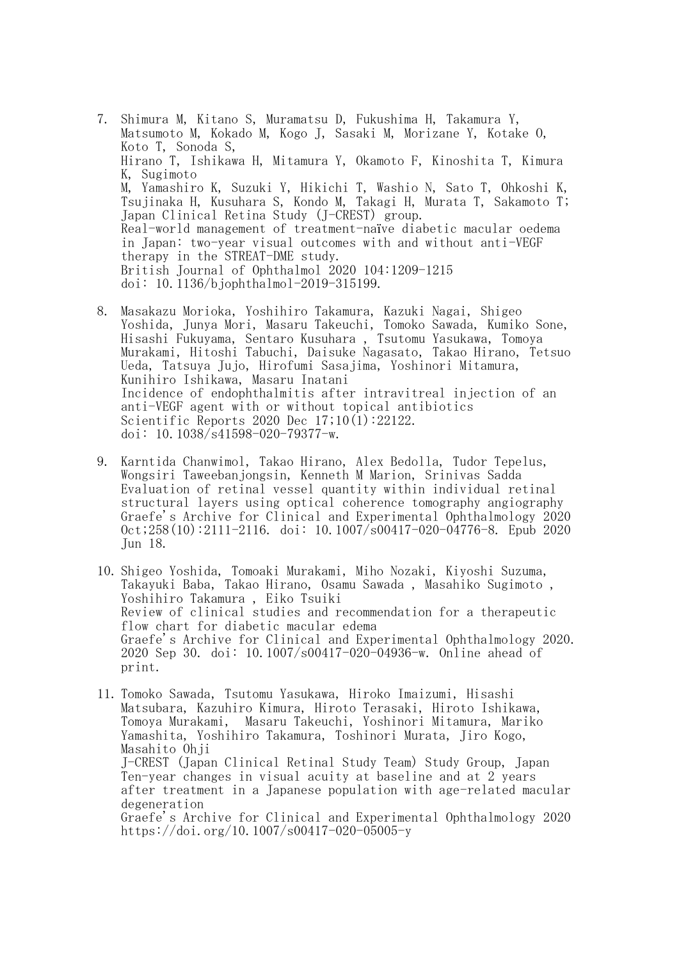7. Shimura M, Kitano S, Muramatsu D, Fukushima H, Takamura Y, Matsumoto M, Kokado M, Kogo J, Sasaki M, Morizane Y, Kotake O, Koto T, Sonoda S, Hirano T, Ishikawa H, Mitamura Y, Okamoto F, Kinoshita T, Kimura K, Sugimoto M, Yamashiro K, Suzuki Y, Hikichi T, Washio N, Sato T, Ohkoshi K, Tsujinaka H, Kusuhara S, Kondo M, Takagi H, Murata T, Sakamoto T; Japan Clinical Retina Study (J-CREST) group. Real-world management of treatment-naïve diabetic macular oedema in Japan: two-year visual outcomes with and without anti-VEGF therapy in the STREAT-DME study. British Journal of Ophthalmol 2020 104:1209-1215 doi: 10.1136/bjophthalmol-2019-315199.

- 8. Masakazu Morioka, Yoshihiro Takamura, Kazuki Nagai, Shigeo Yoshida, Junya Mori, Masaru Takeuchi, Tomoko Sawada, Kumiko Sone, Hisashi Fukuyama, Sentaro Kusuhara , Tsutomu Yasukawa, Tomoya Murakami, Hitoshi Tabuchi, Daisuke Nagasato, Takao Hirano, Tetsuo Ueda, Tatsuya Jujo, Hirofumi Sasajima, Yoshinori Mitamura, Kunihiro Ishikawa, Masaru Inatani Incidence of endophthalmitis after intravitreal injection of an anti-VEGF agent with or without topical antibiotics Scientific Reports 2020 Dec 17;10(1):22122. doi:  $10.1038 \sqrt{s}41598 - 020 - 79377 - w$ .
- 9. Karntida Chanwimol, Takao Hirano, Alex Bedolla, Tudor Tepelus, Wongsiri Taweebanjongsin, Kenneth M Marion, Srinivas Sadda Evaluation of retinal vessel quantity within individual retinal structural layers using optical coherence tomography angiography Graefe's Archive for Clinical and Experimental Ophthalmology 2020  $0ct$ ;258(10):2111-2116. doi: 10.1007/s00417-020-04776-8. Epub 2020 Jun 18.
- 10. Shigeo Yoshida, Tomoaki Murakami, Miho Nozaki, Kiyoshi Suzuma, Takayuki Baba, Takao Hirano, Osamu Sawada , Masahiko Sugimoto , Yoshihiro Takamura , Eiko Tsuiki Review of clinical studies and recommendation for a therapeutic flow chart for diabetic macular edema Graefe's Archive for Clinical and Experimental Ophthalmology 2020. 2020 Sep 30. doi: 10.1007/s00417-020-04936-w. Online ahead of print.
- 11. Tomoko Sawada, Tsutomu Yasukawa, Hiroko Imaizumi, Hisashi Matsubara, Kazuhiro Kimura, Hiroto Terasaki, Hiroto Ishikawa, Tomoya Murakami, Masaru Takeuchi, Yoshinori Mitamura, Mariko Yamashita, Yoshihiro Takamura, Toshinori Murata, Jiro Kogo, Masahito Ohji J-CREST (Japan Clinical Retinal Study Team) Study Group, Japan Ten-year changes in visual acuity at baseline and at 2 years after treatment in a Japanese population with age-related macular degeneration Graefe's Archive for Clinical and Experimental Ophthalmology 2020 https://doi.org/10.1007/s00417-020-05005-y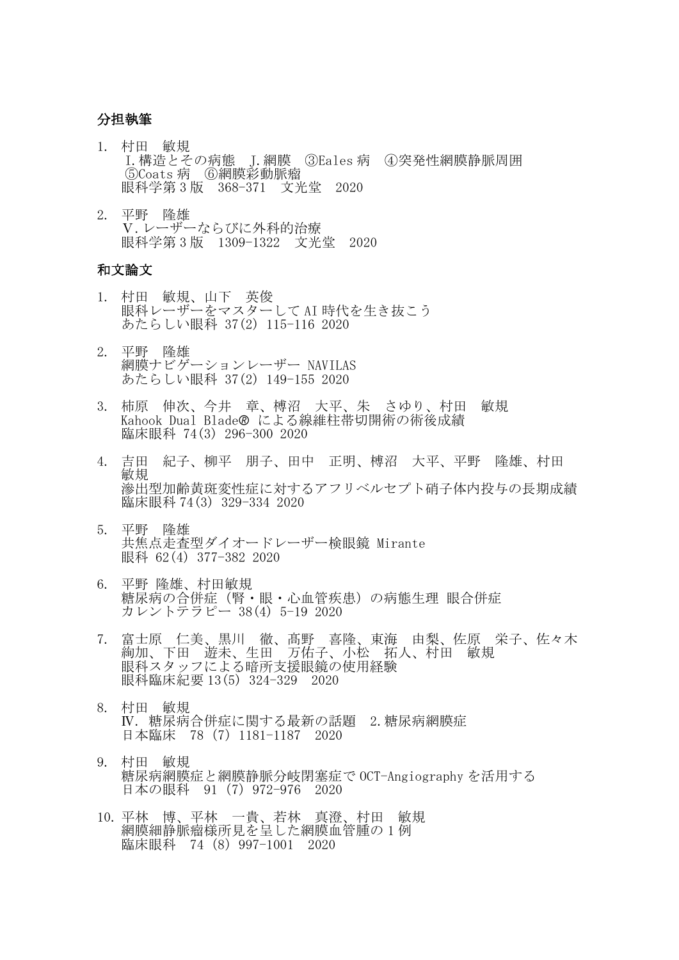## 分担執筆

- 1. 村田 敏規 I.構造とその病態 J.網膜 ③Eales 病 ④突発性網膜静脈周囲 ⑤Coats 病 ⑥網膜彩動脈瘤 眼科学第 3 版 368-371 文光堂 2020
- 2. 平野 隆雄 Ⅴ.レーザーならびに外科的治療 眼科学第 3 版 1309-1322 文光堂 2020

## 和文論文

- 1. 村田 敏規、山下 英俊 眼科レーザーをマスターして AI 時代を生き抜こう あたらしい眼科 37(2) 115-116 2020
- 2. 平野 隆雄 網膜ナビゲーションレーザー NAVILAS あたらしい眼科 37(2) 149-155 2020
- 3. 柿原 伸次、今井 章、榑沼 大平、朱 さゆり、村田 敏規 Kahook Dual Blade による線維柱帯切開術の術後成績 臨床眼科 74(3) 296-300 2020
- 4. 吉田 紀子、柳平 朋子、田中 正明、榑沼 大平、平野 隆雄、村田 敏規 滲出型加齢黄斑変性症に対するアフリベルセプト硝子体内投与の長期成績 臨床眼科 74(3) 329-334 2020
- 5. 平野 隆雄 共焦点走査型ダイオードレーザー検眼鏡 Mirante 眼科 62(4) 377-382 2020
- 6. 平野 隆雄、村田敏規 糖尿病の合併症(腎・眼・心血管疾患)の病態生理 眼合併症 カレントテラピー 38(4) 5-19 2020
- 7. 富士原 仁美、黒川 徹、髙野 喜隆、東海 由梨、佐原 栄子、佐々木 絢加、下田 遊未、生田 万佑子、小松 拓人、村田 敏規 眼科スタッフによる暗所支援眼鏡の使用経験 眼科臨床紀要 13(5) 324-329 2020
- 8. 村田 敏規 Ⅳ. 糖尿病合併症に関する最新の話題 2.糖尿病網膜症 日本臨床 78(7)1181-1187 2020
- 9. 村田 敏規 糖尿病網膜症と網膜静脈分岐閉塞症で OCT-Angiography を活用する 日本の眼科 91(7)972-976 2020
- 10. 平林 博、平林 一貴、若林 真澄、村田 敏規 網膜細静脈瘤様所見を呈した網膜血管腫の 1 例 臨床眼科 74(8)997-1001 2020